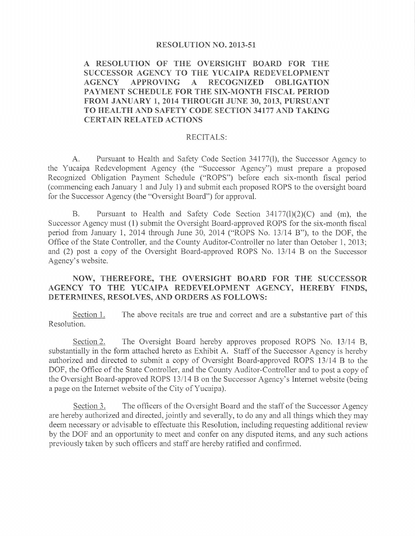### RESOLUTION NO. 2013-51

A RESOLUTION OF THE OVERSIGHT BOARD FOR THE SUCCESSOR AGENCY TO THE YUCAIPA REDEVELOPMENT **AGENCY APPROVING**  $\mathbf{A}$ **RECOGNIZED OBLIGATION** PAYMENT SCHEDULE FOR THE SIX-MONTH FISCAL PERIOD FROM JANUARY 1, 2014 THROUGH JUNE 30, 2013, PURSUANT TO HEALTH AND SAFETY CODE SECTION 34177 AND TAKING **CERTAIN RELATED ACTIONS** 

### RECITALS:

Pursuant to Health and Safety Code Section 34177(1), the Successor Agency to A. the Yucaipa Redevelopment Agency (the "Successor Agency") must prepare a proposed Recognized Obligation Payment Schedule ("ROPS") before each six-month fiscal period (commencing each January 1 and July 1) and submit each proposed ROPS to the oversight board for the Successor Agency (the "Oversight Board") for approval.

Pursuant to Health and Safety Code Section 34177(1)(2)(C) and (m), the **B.** Successor Agency must (1) submit the Oversight Board-approved ROPS for the six-month fiscal period from January 1, 2014 through June 30, 2014 ("ROPS No. 13/14 B"), to the DOF, the Office of the State Controller, and the County Auditor-Controller no later than October 1, 2013; and (2) post a copy of the Oversight Board-approved ROPS No. 13/14 B on the Successor Agency's website.

# NOW, THEREFORE, THE OVERSIGHT BOARD FOR THE SUCCESSOR AGENCY TO THE YUCAIPA REDEVELOPMENT AGENCY, HEREBY FINDS, DETERMINES, RESOLVES, AND ORDERS AS FOLLOWS:

Section 1. The above recitals are true and correct and are a substantive part of this Resolution.

The Oversight Board hereby approves proposed ROPS No. 13/14 B, Section 2. substantially in the form attached hereto as Exhibit A. Staff of the Successor Agency is hereby authorized and directed to submit a copy of Oversight Board-approved ROPS 13/14 B to the DOF, the Office of the State Controller, and the County Auditor-Controller and to post a copy of the Oversight Board-approved ROPS 13/14 B on the Successor Agency's Internet website (being a page on the Internet website of the City of Yucaipa).

The officers of the Oversight Board and the staff of the Successor Agency Section 3. are hereby authorized and directed, jointly and severally, to do any and all things which they may deem necessary or advisable to effectuate this Resolution, including requesting additional review by the DOF and an opportunity to meet and confer on any disputed items, and any such actions previously taken by such officers and staff are hereby ratified and confirmed.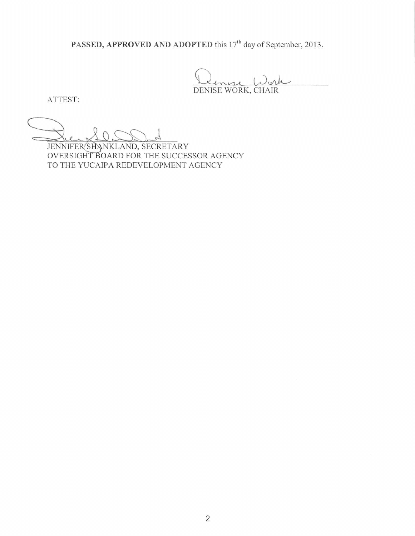PASSED, APPROVED AND ADOPTED this 17<sup>th</sup> day of September, 2013.

DENISE WORK, CHAIR

ATTEST:

JENNIFER SHANKLAND, SECRETARY OVERSIGHT BOARD FOR THE SUCCESSOR AGENCY TO THE YUCAIPA REDEVELOPMENT AGENCY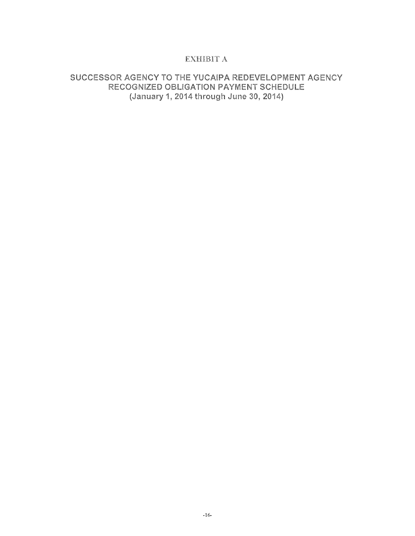# **EXHIBIT A**

# SUCCESSOR AGENCY TO THE YUCAIPA REDEVELOPMENT AGENCY RECOGNIZED OBLIGATION PAYMENT SCHEDULE (January 1, 2014 through June 30, 2014)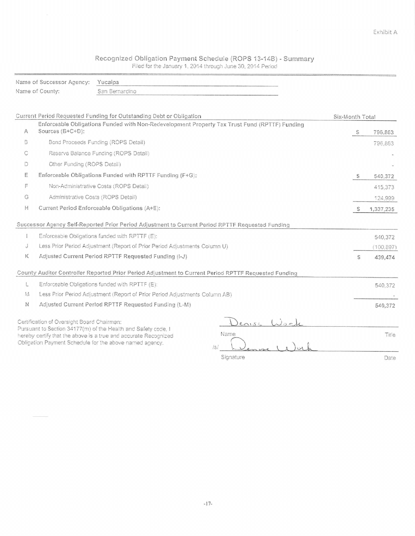# Recognized Obligation Payment Schedule (ROPS 13-14B) - Summary<br>Filed for the January 1, 2014 through June 30, 2014 Period

|   | Name of Successor Agency:                  | Yucaipa                                                                                                                                                                                             |                 |       |
|---|--------------------------------------------|-----------------------------------------------------------------------------------------------------------------------------------------------------------------------------------------------------|-----------------|-------|
|   | Name of County:                            | San Bernardino                                                                                                                                                                                      |                 |       |
|   |                                            |                                                                                                                                                                                                     |                 |       |
|   |                                            | Current Period Requested Funding for Outstanding Debt or Obligation                                                                                                                                 | Six-Month Total |       |
| A | Sources (B+C+D):                           | Enforceable Obligations Funded with Non-Redevelopment Property Tax Trust Fund (RPTTF) Funding                                                                                                       | S<br>796.863    |       |
| В |                                            | Bond Proceeds Funding (ROPS Detail)                                                                                                                                                                 | 796,863         |       |
| С |                                            | Reserve Balance Funding (ROPS Detail)                                                                                                                                                               |                 |       |
| D | Other Funding (ROPS Detail)                |                                                                                                                                                                                                     |                 |       |
| Ε |                                            | Enforceable Obligations Funded with RPTTF Funding (F+G):                                                                                                                                            | - S<br>540,372  |       |
| F |                                            | Non-Administrative Costs (ROPS Detail)                                                                                                                                                              | 415.373         |       |
| G |                                            | Administrative Costs (ROPS Detail)                                                                                                                                                                  | 124,999         |       |
| Н |                                            | Current Period Enforceable Obligations (A+E):                                                                                                                                                       | S<br>1,337,235  |       |
|   |                                            | Successor Agency Self-Reported Prior Period Adjustment to Current Period RPTTF Requested Funding                                                                                                    |                 |       |
|   |                                            | Enforceable Obligations funded with RPTTF (E):                                                                                                                                                      | 540.372         |       |
| Ĵ |                                            | Less Prior Period Adjustment (Report of Prior Period Adjustments Column U)                                                                                                                          | (100, 897)      |       |
| Κ |                                            | Adjusted Current Period RPTTF Requested Funding (I-J)                                                                                                                                               | S<br>439,474    |       |
|   |                                            | County Auditor Controller Reported Prior Period Adjustment to Current Period RPTTF Requested Funding                                                                                                |                 |       |
| Ł |                                            | Enforceable Obligations funded with RPTTF (E):                                                                                                                                                      | 540,372         |       |
| M |                                            | Less Prior Period Adjustment (Report of Prior Period Adjustments Column AB)                                                                                                                         |                 |       |
| N |                                            | Adjusted Current Period RPTTF Requested Funding (L-M)                                                                                                                                               | 540,372         |       |
|   | Certification of Oversight Board Chairman: |                                                                                                                                                                                                     | enise War       |       |
|   |                                            | Pursuant to Section 34177(m) of the Health and Safety code, I<br>Name<br>hereby certify that the above is a true and accurate Recognized<br>Obligation Payment Schedule for the above named agency. |                 | Title |
|   |                                            | Signature                                                                                                                                                                                           |                 | Date  |

Signature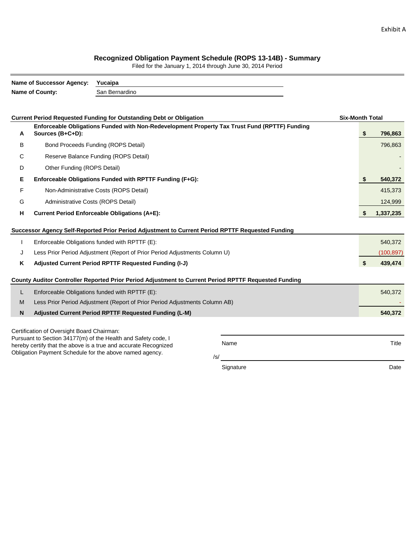#### **Recognized Obligation Payment Schedule (ROPS 13-14B) - Summary**

Filed for the January 1, 2014 through June 30, 2014 Period

|    | <b>Name of Successor Agency:</b>                               | Yucaipa                                                                                              |           |                        |    |            |  |  |  |  |  |
|----|----------------------------------------------------------------|------------------------------------------------------------------------------------------------------|-----------|------------------------|----|------------|--|--|--|--|--|
|    | Name of County:                                                | San Bernardino                                                                                       |           |                        |    |            |  |  |  |  |  |
|    |                                                                |                                                                                                      |           |                        |    |            |  |  |  |  |  |
|    |                                                                | <b>Current Period Requested Funding for Outstanding Debt or Obligation</b>                           |           | <b>Six-Month Total</b> |    |            |  |  |  |  |  |
| A  | Sources (B+C+D):                                               | Enforceable Obligations Funded with Non-Redevelopment Property Tax Trust Fund (RPTTF) Funding        |           |                        | \$ | 796,863    |  |  |  |  |  |
| B  | Bond Proceeds Funding (ROPS Detail)                            |                                                                                                      |           |                        |    |            |  |  |  |  |  |
| С  | Reserve Balance Funding (ROPS Detail)                          |                                                                                                      |           |                        |    |            |  |  |  |  |  |
| D  | Other Funding (ROPS Detail)                                    |                                                                                                      |           |                        |    |            |  |  |  |  |  |
| Е  | Enforceable Obligations Funded with RPTTF Funding (F+G):       |                                                                                                      |           |                        |    |            |  |  |  |  |  |
| F  | Non-Administrative Costs (ROPS Detail)                         |                                                                                                      |           |                        |    |            |  |  |  |  |  |
| G  | Administrative Costs (ROPS Detail)                             |                                                                                                      |           |                        |    |            |  |  |  |  |  |
| н  | <b>Current Period Enforceable Obligations (A+E):</b>           |                                                                                                      |           |                        |    |            |  |  |  |  |  |
|    |                                                                | Successor Agency Self-Reported Prior Period Adjustment to Current Period RPTTF Requested Funding     |           |                        |    |            |  |  |  |  |  |
| ı  |                                                                | Enforceable Obligations funded with RPTTF (E):                                                       |           |                        |    | 540,372    |  |  |  |  |  |
| J  |                                                                | Less Prior Period Adjustment (Report of Prior Period Adjustments Column U)                           |           |                        |    | (100, 897) |  |  |  |  |  |
| Κ  |                                                                | Adjusted Current Period RPTTF Requested Funding (I-J)                                                |           |                        | \$ | 439,474    |  |  |  |  |  |
|    |                                                                |                                                                                                      |           |                        |    |            |  |  |  |  |  |
|    |                                                                | County Auditor Controller Reported Prior Period Adjustment to Current Period RPTTF Requested Funding |           |                        |    |            |  |  |  |  |  |
| L. |                                                                | Enforceable Obligations funded with RPTTF (E):                                                       |           |                        |    | 540,372    |  |  |  |  |  |
| M  |                                                                | Less Prior Period Adjustment (Report of Prior Period Adjustments Column AB)                          |           |                        |    |            |  |  |  |  |  |
| N  |                                                                | Adjusted Current Period RPTTF Requested Funding (L-M)                                                |           |                        |    | 540,372    |  |  |  |  |  |
|    | Certification of Oversight Board Chairman:                     |                                                                                                      |           |                        |    |            |  |  |  |  |  |
|    |                                                                | Pursuant to Section 34177(m) of the Health and Safety code, I                                        |           |                        |    |            |  |  |  |  |  |
|    |                                                                | hereby certify that the above is a true and accurate Recognized                                      | Name      |                        |    | Title      |  |  |  |  |  |
|    | Obligation Payment Schedule for the above named agency.<br>/s/ |                                                                                                      |           |                        |    |            |  |  |  |  |  |
|    |                                                                |                                                                                                      | Signature |                        |    | Date       |  |  |  |  |  |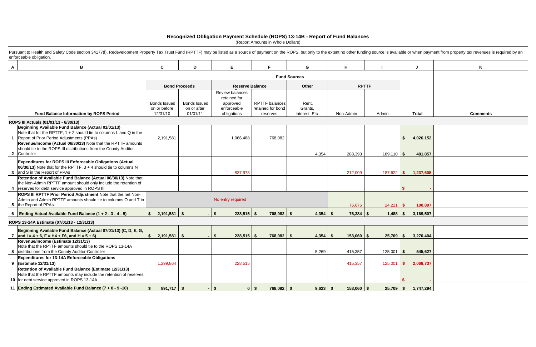|   | Pursuant to Health and Safety Code section 34177(I), Redevelopment Property Tax Trust Fund (RPTTF) may be listed as a source of payment on the ROPS, but only to the extent no other funding source is available or when payme<br>enforceable obligation. |                                                                                                   |                |                                                                           |                                                        |          |                     |                                    |            |              |                |              |                 |  |
|---|-----------------------------------------------------------------------------------------------------------------------------------------------------------------------------------------------------------------------------------------------------------|---------------------------------------------------------------------------------------------------|----------------|---------------------------------------------------------------------------|--------------------------------------------------------|----------|---------------------|------------------------------------|------------|--------------|----------------|--------------|-----------------|--|
| A | B                                                                                                                                                                                                                                                         |                                                                                                   | C              | D                                                                         | Е                                                      |          | F.                  |                                    | G          | н            |                |              |                 |  |
|   |                                                                                                                                                                                                                                                           |                                                                                                   |                |                                                                           |                                                        |          | <b>Fund Sources</b> |                                    |            |              |                |              |                 |  |
|   |                                                                                                                                                                                                                                                           |                                                                                                   |                | <b>Bond Proceeds</b>                                                      | <b>Reserve Balance</b>                                 |          |                     |                                    | Other      |              | <b>RPTTF</b>   |              |                 |  |
|   | <b>Fund Balance Information by ROPS Period</b>                                                                                                                                                                                                            | <b>Bonds Issued</b><br><b>Bonds Issued</b><br>on or before<br>on or after<br>12/31/10<br>01/01/11 |                | Review balances<br>retained for<br>approved<br>enforceable<br>obligations | <b>RPTTF</b> balances<br>retained for bond<br>reserves |          |                     | Rent,<br>Grants,<br>Interest, Etc. | Non-Admin  | Admin        |                | <b>Total</b> | <b>Comments</b> |  |
|   | ROPS III Actuals (01/01/13 - 6/30/13)                                                                                                                                                                                                                     |                                                                                                   |                |                                                                           |                                                        |          |                     |                                    |            |              |                |              |                 |  |
|   | Beginning Available Fund Balance (Actual 01/01/13)<br>Note that for the RPTTF, $1 + 2$ should tie to columns L and Q in the<br>1 Report of Prior Period Adjustments (PPAs)                                                                                |                                                                                                   | 2,191,581      |                                                                           | 1,066,488                                              |          | 768,082             |                                    |            |              |                |              | 4,026,152       |  |
|   | Revenue/Income (Actual 06/30/13) Note that the RPTTF amounts<br>should tie to the ROPS III distributions from the County Auditor-<br>2 Controller                                                                                                         |                                                                                                   |                |                                                                           |                                                        |          |                     |                                    | 4,354      | 288,393      | $189,110$ \$   |              | 481,857         |  |
|   | <b>Expenditures for ROPS III Enforceable Obligations (Actual</b><br>$ 06/30/13 $ Note that for the RPTTF, $3 + 4$ should tie to columns N<br>3 and S in the Report of PPAs                                                                                |                                                                                                   |                |                                                                           | 837,973                                                |          |                     |                                    |            | 212,009      | 187,622 \$     |              | 1,237,605       |  |
|   | Retention of Available Fund Balance (Actual 06/30/13) Note that<br>the Non-Admin RPTTF amount should only include the retention of<br>4   reserves for debt service approved in ROPS III                                                                  |                                                                                                   |                |                                                                           |                                                        |          |                     |                                    |            |              |                |              |                 |  |
|   | ROPS III RPTTF Prior Period Adjustment Note that the net Non-<br>Admin and Admin RPTTF amounts should tie to columns O and T in<br>5 the Report of PPAs.                                                                                                  |                                                                                                   |                |                                                                           | No entry required                                      |          |                     |                                    |            | 76,676       | 24,221         |              | 100,897         |  |
|   | 6   Ending Actual Available Fund Balance $(1 + 2 - 3 - 4 - 5)$                                                                                                                                                                                            | $\mathbf{s}$                                                                                      | $2,191,581$ \$ |                                                                           | $\mathbf{\hat{s}}$<br>$228,515$ \$                     |          | $768,082$ \$        |                                    |            | 76,384       |                |              | 3,169,507       |  |
|   | ROPS 13-14A Estimate (07/01/13 - 12/31/13)                                                                                                                                                                                                                |                                                                                                   |                |                                                                           |                                                        |          |                     |                                    |            |              |                |              |                 |  |
|   | Beginning Available Fund Balance (Actual 07/01/13) (C, D, E, G,<br>7 $\vert$ and I = 4 + 6, F = H4 + F6, and H = 5 + 6)                                                                                                                                   | S.                                                                                                | 2,191,581      | - \$                                                                      | $228,515$ \$                                           |          | 768,082             | - \$                               |            | 153,060      | 25,709<br>- \$ |              | 3,270,404       |  |
|   | Revenue/Income (Estimate 12/31/13)<br>Note that the RPTTF amounts should tie to the ROPS 13-14A<br>8 distributions from the County Auditor-Controller                                                                                                     |                                                                                                   |                |                                                                           |                                                        |          |                     |                                    | 5,269      | 415,357      | $125,001$ \$   |              | 545,627         |  |
|   | <b>Expenditures for 13-14A Enforceable Obligations</b><br>9 (Estimate 12/31/13)                                                                                                                                                                           |                                                                                                   | 1,299,864      |                                                                           | 228,515                                                |          |                     |                                    |            | 415,357      | $125,001$ \$   |              | 2,068,737       |  |
|   | Retention of Available Fund Balance (Estimate 12/31/13)<br>Note that the RPTTF amounts may include the retention of reserves<br>10 for debt service approved in ROPS 13-14A                                                                               |                                                                                                   |                |                                                                           |                                                        |          |                     |                                    |            |              |                |              |                 |  |
|   | 11 Ending Estimated Available Fund Balance (7 + 8 - 9 -10)                                                                                                                                                                                                | \$                                                                                                | $891,717$ \$   |                                                                           | -\$                                                    | $0$   \$ | $768,082$ \$        |                                    | $9,623$ \$ | $153,060$ \$ | $25,709$ \$    |              | 1,747,294       |  |

|    |                   |              | vailable or when payment from property tax revenues is required by an |
|----|-------------------|--------------|-----------------------------------------------------------------------|
|    |                   | J            | Κ                                                                     |
|    |                   |              |                                                                       |
|    |                   |              |                                                                       |
|    |                   |              |                                                                       |
|    |                   |              |                                                                       |
|    |                   | <b>Total</b> | <b>Comments</b>                                                       |
|    |                   |              |                                                                       |
|    | \$                | 4,026,152    |                                                                       |
|    |                   |              |                                                                       |
| 10 | \$                | 481,857      |                                                                       |
|    |                   |              |                                                                       |
| 22 | \$                | 1,237,605    |                                                                       |
|    | \$                | ÷            |                                                                       |
|    |                   |              |                                                                       |
| 21 | $\boldsymbol{\$}$ | 100,897      |                                                                       |
| 88 | \$                | 3,169,507    |                                                                       |
|    |                   |              |                                                                       |
| 09 | $\pmb{\$}$        | 3,270,404    |                                                                       |
|    |                   |              |                                                                       |
| 01 | \$                | 545,627      |                                                                       |
|    |                   |              |                                                                       |

## **Recognized Obligation Payment Schedule (ROPS) 13-14B - Report of Fund Balances**

(Report Amounts in Whole Dollars)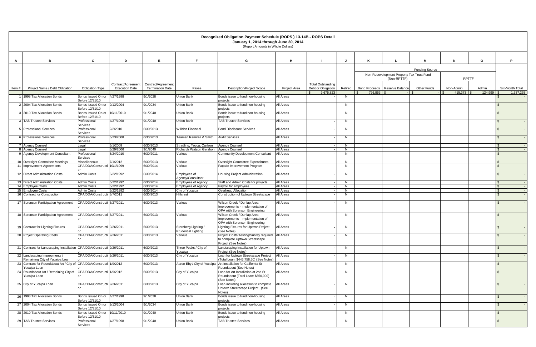|       |                                                                                      |                                                 |                       |                         |                                             | Recognized Obligation Payment Schedule (ROPS) 13-14B - ROPS Detail<br>January 1, 2014 through June 30, 2014<br>(Report Amounts in Whole Dollars) |                     |                          |                       |  |            |                                           |                    |                      |              |                 |  |  |  |
|-------|--------------------------------------------------------------------------------------|-------------------------------------------------|-----------------------|-------------------------|---------------------------------------------|--------------------------------------------------------------------------------------------------------------------------------------------------|---------------------|--------------------------|-----------------------|--|------------|-------------------------------------------|--------------------|----------------------|--------------|-----------------|--|--|--|
|       |                                                                                      |                                                 |                       |                         |                                             |                                                                                                                                                  |                     |                          |                       |  |            |                                           |                    |                      |              |                 |  |  |  |
| A     | B                                                                                    | C                                               | D                     | E                       | F.                                          | G                                                                                                                                                | H                   |                          |                       |  |            |                                           | м                  | N                    | $\mathbf{o}$ | Þ               |  |  |  |
|       |                                                                                      |                                                 |                       |                         |                                             |                                                                                                                                                  |                     |                          | <b>Funding Source</b> |  |            |                                           |                    |                      |              |                 |  |  |  |
|       |                                                                                      |                                                 |                       |                         |                                             |                                                                                                                                                  |                     |                          |                       |  |            | Non-Redevelopment Property Tax Trust Fund |                    |                      |              |                 |  |  |  |
|       |                                                                                      |                                                 | Contract/Agreement    | Contract/Agreement      |                                             |                                                                                                                                                  |                     | <b>Total Outstanding</b> |                       |  |            | (Non-RPTTF)                               |                    |                      | <b>RPTTF</b> |                 |  |  |  |
| Item# | Project Name / Debt Obligation                                                       | Obligation Type                                 | <b>Execution Date</b> | <b>Termination Date</b> | Payee                                       | <b>Description/Project Scope</b>                                                                                                                 | <b>Project Area</b> | Debt or Obligation       | Retired               |  |            | Bond Proceeds   Reserve Balance           | <b>Other Funds</b> | Non-Admin            | Admin        | Six-Month Total |  |  |  |
|       | 1998 Tax Allocation Bonds                                                            | Bonds Issued On or                              | 4/27/1998             | 9/1/2028                | Union Bank                                  | Bonds issue to fund non-housing                                                                                                                  | <b>All Areas</b>    | 9,675,823                | N                     |  | 796,863 \$ |                                           |                    | $415,373$ \$<br>l \$ | 124,999      | 1,337,235       |  |  |  |
|       | 2 2004 Tax Allocation Bonds                                                          | Before 12/31/10<br>Bonds Issued On or           | 9/13/2004             | 9/1/2034                | Union Bank                                  | projects<br>Bonds issue to fund non-housing                                                                                                      | All Areas           |                          | N                     |  |            |                                           |                    |                      |              |                 |  |  |  |
|       |                                                                                      | Before 12/31/10                                 |                       |                         |                                             | projects                                                                                                                                         |                     |                          |                       |  |            |                                           |                    |                      |              |                 |  |  |  |
|       | 3 2010 Tax Allocation Bonds                                                          | Bonds Issued On or<br>Before 12/31/10           | 10/11/2010            | 9/1/2040                | Union Bank                                  | Bonds issue to fund non-housing<br>projects                                                                                                      | All Areas           |                          | N                     |  |            |                                           |                    |                      |              |                 |  |  |  |
|       | 4 TAB Trustee Services                                                               | Professional<br>Services                        | 4/27/1998             | 9/1/2040                | Union Bank                                  | <b>TAB Trustee Services</b>                                                                                                                      | All Areas           |                          | N                     |  |            |                                           |                    |                      |              |                 |  |  |  |
|       | 5 Professional Services                                                              | Professional                                    | 2/2/2010              | 6/30/2013               | <b>Willdan Financial</b>                    | <b>Bond Disclosure Services</b>                                                                                                                  | All Areas           |                          | N                     |  |            |                                           |                    |                      |              |                 |  |  |  |
|       | 6 Professional Services                                                              | Services<br>Professional                        | 6/23/2008             | 6/30/2013               | Teaman Ramirez & Smith                      | <b>Audit Services</b>                                                                                                                            | <b>All Areas</b>    |                          | N                     |  |            |                                           |                    |                      |              |                 |  |  |  |
|       | 7 Agency Counsel                                                                     | Services<br>Legal                               | 6/1/2009              | 6/30/2013               | Stradling, Yocca, Carlson                   | <b>Agency Counsel</b>                                                                                                                            | <b>All Areas</b>    |                          | N                     |  |            |                                           |                    |                      |              |                 |  |  |  |
|       | 8 Agency Counsel                                                                     | Legal                                           | 6/29/2006             | 9/1/2040                | Richards Watson Gershon                     | Agency Counsel                                                                                                                                   | All Areas           |                          | N                     |  |            |                                           |                    |                      |              |                 |  |  |  |
|       | 9 Agency Development Consultant                                                      | Professional<br>Services                        | 5/24/2010             | 6/30/2011               | Various                                     | <b>Community Development Consultant</b>                                                                                                          | All Areas           |                          | N                     |  |            |                                           |                    |                      |              |                 |  |  |  |
|       | 10 Oversight Committee Meetings                                                      | Miscellaneous                                   | 7/1/2012              | 6/30/2013               | Various                                     | Oversight Committee Expenditures                                                                                                                 | All Areas           |                          | N.                    |  |            |                                           |                    |                      |              |                 |  |  |  |
|       | 11 Improvement Agreements                                                            | OPA/DDA/Constructi                              | 10/1/1999             | 6/30/2014               | Various                                     | Façade Improvement Program                                                                                                                       | <b>All Areas</b>    |                          | N                     |  |            |                                           |                    |                      |              |                 |  |  |  |
|       | 12 Direct Administration Costs                                                       | <b>Admin Costs</b>                              | 6/22/1992             | 6/30/2014               | Employees of<br>Agency/Consultant           | <b>Housing Project Administration</b>                                                                                                            | All Areas           |                          | N                     |  |            |                                           |                    |                      |              |                 |  |  |  |
|       | 13 Direct Administration Costs                                                       | <b>Admin Costs</b>                              | 6/22/1992             | 6/30/2014               | <b>Employees of Agency</b>                  | Staff and Admin Costs for projects                                                                                                               | <b>All Areas</b>    |                          | N                     |  |            |                                           |                    |                      |              |                 |  |  |  |
|       | 14 Employee Costs                                                                    | <b>Admin Costs</b>                              | 6/22/1992             | 6/30/2014               | <b>Employees of Agency</b>                  | Payroll for employees                                                                                                                            | <b>All Areas</b>    |                          | N                     |  |            |                                           |                    |                      |              |                 |  |  |  |
|       | 15 Employee Costs                                                                    | <b>Admin Costs</b>                              | 6/22/1992             | 6/30/2014               | City of Yucaipa                             | Overhead Allocation                                                                                                                              | All Areas           |                          | N                     |  |            |                                           |                    |                      |              |                 |  |  |  |
|       | 16 Contract for Construction                                                         | OPA/DDA/Constructi 3/7/2011                     |                       | 6/30/2013               | Hillcrest                                   | Construction of Uptown Streetscape                                                                                                               | All Areas           |                          | N                     |  |            |                                           |                    |                      |              |                 |  |  |  |
|       | 17 Sorenson Participation Agreement                                                  | OPA/DDA/Constructi 6/27/2011                    |                       | 6/30/2013               | Various                                     | Wilson Creek / Dunlap Area<br>Improvements - Implementation of<br>OPA with Sorenson Engineering                                                  | <b>All Areas</b>    |                          | N                     |  |            |                                           |                    |                      |              |                 |  |  |  |
|       | 18 Sorenson Participation Agreement                                                  | OPA/DDA/Constructi 6/27/2011                    |                       | 6/30/2013               | Various                                     | Wilson Creek / Dunlap Area                                                                                                                       | All Areas           |                          | N                     |  |            |                                           |                    |                      |              |                 |  |  |  |
|       |                                                                                      |                                                 |                       |                         |                                             | Improvements - Implementation of<br>OPA with Sorenson Engineering                                                                                |                     |                          |                       |  |            |                                           |                    |                      |              |                 |  |  |  |
|       | 19 Contract for Lighting Fixtures                                                    | OPA/DDA/Constructi 9/26/2011                    |                       | 6/30/2013               | Sternberg Lighting /<br>Prudential Lighting | Lighting Fixtures for Uptown Project<br>(See Notes)                                                                                              | <b>All Areas</b>    |                          | N                     |  |            |                                           |                    |                      |              |                 |  |  |  |
|       | 20 Project Operating Costs                                                           | OPA/DDA/Constructi 9/26/2011                    |                       | 6/30/2013               | Various                                     | Project Costs/Testing/Survey required   All Areas                                                                                                |                     |                          | N                     |  |            |                                           |                    |                      |              |                 |  |  |  |
|       |                                                                                      |                                                 |                       |                         |                                             | to complete Uptown Streetscape<br>Project (See Notes)                                                                                            |                     |                          |                       |  |            |                                           |                    |                      |              |                 |  |  |  |
|       | 21 Contract for Landscaping Installation OPA/DDA/Constructi 9/26/2011                |                                                 |                       | 6/30/2013               | Three Peaks / City of<br>Yucaipa            | Landscaping Installation for Uptown<br>Project (See Notes)                                                                                       | All Areas           |                          | N                     |  |            |                                           |                    |                      |              | $\mathfrak{L}$  |  |  |  |
|       | 22 Landscaping Improvments /<br>Remaining City of Yucaipa Loan                       | OPA/DDA/Constructi 9/26/2011                    |                       | 6/30/2013               | City of Yucaipa                             | Loan for Uptown Streetscape Project<br>(Total Loan: \$443,758.50) (See Notes)                                                                    | All Areas           |                          | N                     |  |            |                                           |                    |                      |              | S.              |  |  |  |
|       | 23 Contract for Roundabout Art / City of OPA/DDA/Constructi 1/9/2012<br>Yucaipa Loan |                                                 |                       | 6/30/2013               | Aaron Eby / City of Yucaipa                 | Art Installation for California St<br>Roundabout (See Notes)                                                                                     | All Areas           |                          | N                     |  |            |                                           |                    |                      |              | -S              |  |  |  |
|       | 24 Roundabout Art / Remaining City of OPA/DDA/Constructi 1/9/2012<br>Yucaipa Loan    |                                                 |                       | 6/30/2013               | City of Yucaipa                             | Loan for Art Installation at 2nd St<br>Roundabout (Total Loan: \$350,000)                                                                        | All Areas           |                          | N                     |  |            |                                           |                    |                      |              |                 |  |  |  |
|       |                                                                                      | OPA/DDA/Constructi 9/26/2011                    |                       | 6/30/2013               | City of Yucaipa                             | (See Notes)<br>Loan including allocation to complete                                                                                             | All Areas           |                          |                       |  |            |                                           |                    |                      |              |                 |  |  |  |
|       | 25 City of Yucaipa Loan                                                              |                                                 |                       |                         |                                             | Uptown Streetscape Project. (See<br>Notes)                                                                                                       |                     |                          | N                     |  |            |                                           |                    |                      |              |                 |  |  |  |
|       | 26 1998 Tax Allocation Bonds                                                         | Bonds Issued On or 4/27/1998<br>Before 12/31/10 |                       | 9/1/2028                | Union Bank                                  | Bonds issue to fund non-housing<br>projects                                                                                                      | All Areas           |                          | N.                    |  |            |                                           |                    |                      |              | \$.             |  |  |  |
|       | 27 2004 Tax Allocation Bonds                                                         | Bonds Issued On or 9/13/2004<br>Before 12/31/10 |                       | 9/1/2034                | <b>Union Bank</b>                           | Bonds issue to fund non-housing<br>projects                                                                                                      | All Areas           |                          | N                     |  |            |                                           |                    |                      |              |                 |  |  |  |
|       | 28 2010 Tax Allocation Bonds                                                         | Bonds Issued On or<br>Before 12/31/10           | 10/11/2010            | 9/1/2040                | <b>Union Bank</b>                           | Bonds issue to fund non-housing<br>projects                                                                                                      | All Areas           |                          | N                     |  |            |                                           |                    |                      |              |                 |  |  |  |
|       | 29 TAB Trustee Services                                                              | Professional<br>Services                        | 4/27/1998             | 9/1/2040                | <b>Union Bank</b>                           | <b>TAB Trustee Services</b>                                                                                                                      | <b>All Areas</b>    |                          | N                     |  |            |                                           |                    |                      |              |                 |  |  |  |
|       |                                                                                      |                                                 |                       |                         |                                             |                                                                                                                                                  |                     |                          |                       |  |            |                                           |                    |                      |              |                 |  |  |  |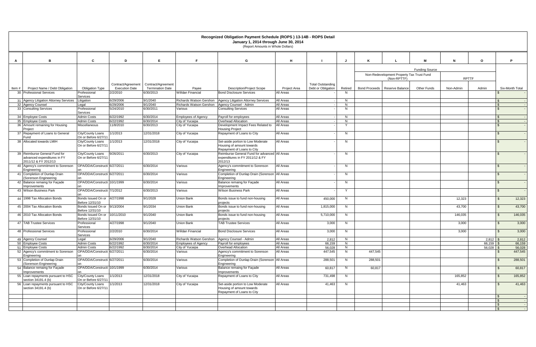|                                                              | Recognized Obligation Payment Schedule (ROPS) 13-14B - ROPS Detail<br>January 1, 2014 through June 30, 2014<br>(Report Amounts in Whole Dollars) |                                             |                                               |                                                  |                                                                                              |                     |                                                |          |         |                                           |                       |              |             |                          |                 |
|--------------------------------------------------------------|--------------------------------------------------------------------------------------------------------------------------------------------------|---------------------------------------------|-----------------------------------------------|--------------------------------------------------|----------------------------------------------------------------------------------------------|---------------------|------------------------------------------------|----------|---------|-------------------------------------------|-----------------------|--------------|-------------|--------------------------|-----------------|
| в<br>A                                                       | $\mathbf{c}$                                                                                                                                     | D                                           | E                                             |                                                  | G                                                                                            | H                   |                                                |          |         |                                           | M                     | N            |             | P                        |                 |
|                                                              |                                                                                                                                                  |                                             |                                               |                                                  |                                                                                              |                     |                                                |          |         |                                           | <b>Funding Source</b> |              |             |                          |                 |
|                                                              |                                                                                                                                                  |                                             |                                               |                                                  |                                                                                              |                     |                                                |          |         | Non-Redevelopment Property Tax Trust Fund |                       |              |             |                          |                 |
|                                                              |                                                                                                                                                  |                                             |                                               |                                                  |                                                                                              |                     |                                                |          |         | (Non-RPTTF)                               |                       | <b>RPTTF</b> |             |                          |                 |
| Project Name / Debt Obligation<br>Item#                      | <b>Obligation Type</b>                                                                                                                           | Contract/Agreement<br><b>Execution Date</b> | Contract/Agreement<br><b>Termination Date</b> | Payee                                            | <b>Description/Project Scope</b>                                                             | <b>Project Area</b> | <b>Total Outstanding</b><br>Debt or Obligation | Retired  |         | Bond Proceeds   Reserve Balance           | <b>Other Funds</b>    | Non-Admin    | Admin       |                          | Six-Month Total |
| 30 Professional Services                                     | Professional                                                                                                                                     | 2/2/2010                                    | 6/30/2013                                     | <b>Willdan Financial</b>                         | <b>Bond Disclosure Services</b>                                                              | All Areas           |                                                | N.       |         |                                           |                       |              |             |                          |                 |
| 31 Agency Litigation Attorney Services                       | Services<br>Litigation                                                                                                                           | 6/29/2006                                   | 9/1/2040                                      |                                                  | Richards Watson Gershon   Agency Litigation Attorney Services                                | All Areas           |                                                | N        |         |                                           |                       |              |             | $\mathcal{F}$            |                 |
| 32 Agency Counsel                                            | Legal                                                                                                                                            | 6/29/2006                                   | 9/1/2040                                      | Richards Watson Gershon   Agency Counsel - Admin |                                                                                              | All Areas           |                                                | N        |         |                                           |                       |              |             | . ፍ                      |                 |
| 33 Consulting Services                                       | Professional<br>Services                                                                                                                         | 5/24/2010                                   | 6/30/2011                                     | Various                                          | <b>Consulting Services</b>                                                                   | All Areas           |                                                | N        |         |                                           |                       |              |             | $\hat{\mathbf{r}}$       |                 |
| 34 Employee Costs                                            | <b>Admin Costs</b>                                                                                                                               | 6/22/1992                                   | 6/30/2014                                     | <b>Employees of Agency</b>                       | Payroll for employees                                                                        | All Areas           |                                                | N.       |         |                                           |                       |              |             | - \$                     |                 |
| 35 Employee Costs                                            | Admin Costs                                                                                                                                      | 6/22/1992                                   | 6/30/2014                                     | City of Yucaipa                                  | Overhead Allocation                                                                          | <b>All Areas</b>    |                                                | N        |         |                                           |                       |              |             | -\$                      |                 |
| 36 Amount remaining for Housing<br>Proiect                   | <b>Miscellaneous</b>                                                                                                                             | 11/8/2010                                   | 6/30/2013                                     | City of Yucaipa                                  | Development Impact Fees Related to<br><b>Housing Project</b>                                 | All Areas           |                                                |          |         |                                           |                       |              |             | $\hat{\mathcal{L}}$      |                 |
| 37 Repayment of Loans to General<br>Fund                     | City/County Loans<br>On or Before 6/27/11                                                                                                        | 1/1/2013                                    | 12/31/2018                                    | City of Yucaipa                                  | Repayment of Loans to City                                                                   | All Areas           |                                                | N        |         |                                           |                       |              |             | $\mathcal{F}$            |                 |
| 38 Allocated towards LMIH                                    | City/County Loans<br>On or Before 6/27/11                                                                                                        | 1/1/2013                                    | 12/31/2018                                    | City of Yucaipa                                  | Set-aside portion to Low Moderate<br>Housing of amount towards<br>Repayment of Loans to City | All Areas           |                                                | N        |         |                                           |                       |              |             | . ፍ                      |                 |
| 39 Reimburse General Fund for<br>advanced expenditures in FY | City/County Loans<br>On or Before 6/27/11                                                                                                        | 9/26/2011                                   | 6/30/2013                                     | City of Yucaipa                                  | Reimburse General Fund for advanced All Areas<br>expenditures in FY 2011/12 & FY             |                     |                                                | N        |         |                                           |                       |              |             |                          |                 |
| 2011/12 & FY 2012/13<br>40 Agency's commitment to Sorenson   | OPA/DDA/Constructi 6/27/2011                                                                                                                     |                                             | 6/30/2014                                     | Various                                          | 2012/13<br>Agency's commitment to Sorenson                                                   | All Areas           |                                                | N        |         |                                           |                       |              |             |                          |                 |
| Engineering<br>41 Completion of Dunlap Drain                 | OPA/DDA/Constructi 6/27/2011                                                                                                                     |                                             | 6/30/2014                                     | Various                                          | Engineering<br>Completion of Dunlap Drain (Sorenson                                          | All Areas           |                                                | N        |         |                                           |                       |              |             | - SS                     |                 |
| (Sorenson Engineering                                        | on                                                                                                                                               |                                             |                                               |                                                  | Engineering                                                                                  |                     |                                                |          |         |                                           |                       |              |             |                          |                 |
| 42 Balance remaing for Façade<br>Improvements                | OPA/DDA/Constructi 10/1/1999                                                                                                                     |                                             | 6/30/2014                                     | Various                                          | Balance remaing for Façade<br>Improvements                                                   | All Areas           |                                                | N        |         |                                           |                       |              |             | -\$                      |                 |
| 43 Wilson Business Park                                      | OPA/DDA/Constructi 7/1/2012                                                                                                                      |                                             | 6/30/2013                                     | Various                                          | <b>Wilson Business Park</b>                                                                  | All Areas           |                                                | <b>Y</b> |         |                                           |                       |              |             | \$                       |                 |
| 44 1998 Tax Allocation Bonds                                 | Bonds Issued On or 4/27/1998<br>Before 12/31/10                                                                                                  |                                             | 9/1/2028                                      | Union Bank                                       | Bonds issue to fund non-housing<br>projects                                                  | All Areas           | 450,000                                        | N        |         |                                           |                       | 12,323       |             | $\mathbb{S}$             | 12,323          |
| 45 2004 Tax Allocation Bonds                                 | Bonds Issued On or 9/13/2004<br>Before 12/31/10                                                                                                  |                                             | 9/1/2034                                      | Union Bank                                       | Bonds issue to fund non-housing<br>projects                                                  | All Areas           | 1,815,000                                      | N        |         |                                           |                       | 43,700       |             | - \$                     | 43,700          |
| 46 2010 Tax Allocation Bonds                                 | Bonds Issued On or 10/11/2010<br>Before 12/31/10                                                                                                 |                                             | 9/1/2040                                      | Union Bank                                       | Bonds issue to fund non-housing<br>projects                                                  | All Areas           | 5,710,000                                      | N        |         |                                           |                       | 146,035      |             | - \$                     | 146,035         |
| 47 TAB Trustee Services                                      | Professional<br>Services                                                                                                                         | 4/27/1998                                   | 9/1/2040                                      | Union Bank                                       | <b>TAB Trustee Services</b>                                                                  | All Areas           | 3,000                                          | N        |         |                                           |                       | 3,000        |             | - \$                     | 3,000           |
| 48 Professional Services                                     | Professional<br>Services                                                                                                                         | 2/2/2010                                    | 6/30/2014                                     | <b>Willdan Financial</b>                         | <b>Bond Disclosure Services</b>                                                              | All Areas           | 3,000                                          | N        |         |                                           |                       | 3,000        |             | $\mathbf{\hat{s}}$       | 3,000           |
| 49 Agency Counsel                                            | Legal                                                                                                                                            | 6/29/2006                                   | 9/1/2040                                      | Richards Watson Gershon Agency Counsel - Admin   |                                                                                              | <b>All Areas</b>    | 2,812                                          | N.       |         |                                           |                       |              | $2,812$ \$  |                          | 2,812           |
| 50 Employee Costs                                            | <b>Admin Costs</b>                                                                                                                               | 6/22/1992                                   | 6/30/2014                                     | <b>Employees of Agency</b>                       | Payroll for employees                                                                        | All Areas           | 66,159                                         | N.       |         |                                           |                       |              | $66,159$ \$ |                          | 66,159          |
| 51 Employee Costs                                            | <b>Admin Costs</b>                                                                                                                               | 6/22/1992                                   | 6/30/2014                                     | City of Yucaipa                                  | Overhead Allocation                                                                          | All Areas           | 56,028                                         | N        |         |                                           |                       |              | $56,028$ \$ |                          | 56,028          |
| 52 Agency's commitment to Sorenson<br>Engineering            | OPA/DDA/Constructi 6/27/2011                                                                                                                     |                                             | 6/30/2014                                     | Various                                          | Agency's commitment to Sorenson<br>Engineering                                               | All Areas           | 447,545                                        | N.       | 447,545 |                                           |                       |              |             | - \$                     | 447,545         |
| 53 Completion of Dunlap Drain                                | OPA/DDA/Constructi 6/27/2011                                                                                                                     |                                             | 6/30/2014                                     | Various                                          | Completion of Dunlap Drain (Sorenson All Areas                                               |                     | 288,501                                        | N.       | 288,501 |                                           |                       |              |             | \$                       | 288,501         |
| (Sorenson Engineering<br>54 Balance remaing for Façade       | OPA/DDA/Constructi 10/1/1999                                                                                                                     |                                             | 6/30/2014                                     | Various                                          | Engineering<br>Balance remaing for Façade                                                    | All Areas           | 60,817                                         | N        | 60,817  |                                           |                       |              |             | \$                       | 60,817          |
| Improvements<br>55 Loan repayments pursuant to HSC           | City/County Loans                                                                                                                                | 1/1/2013                                    | 12/31/2018                                    | City of Yucaipa                                  | Improvements<br>Repayment of Loans to City                                                   | All Areas           | 731,498                                        | N        |         |                                           |                       | 165,852      |             | $\mathfrak{F}$           | 165,852         |
| section 34191.4 (b)                                          | On or Before 6/27/11                                                                                                                             |                                             |                                               |                                                  |                                                                                              |                     |                                                |          |         |                                           |                       |              |             |                          |                 |
| 56 Loan repayments pursuant to HSC<br>section 34191.4 (b)    | City/County Loans<br>On or Before 6/27/11                                                                                                        | 1/1/2013                                    | 12/31/2018                                    | City of Yucaipa                                  | Set-aside portion to Low Moderate<br>Housing of amount towards<br>Repayment of Loans to City | All Areas           | 41,463                                         | N        |         |                                           |                       | 41,463       |             | - \$                     | 41,463          |
|                                                              |                                                                                                                                                  |                                             |                                               |                                                  |                                                                                              |                     |                                                |          |         |                                           |                       |              |             | - SS                     |                 |
|                                                              |                                                                                                                                                  |                                             |                                               |                                                  |                                                                                              |                     |                                                |          |         |                                           |                       |              |             | $\sqrt{3}$<br>$\sqrt{3}$ |                 |
|                                                              |                                                                                                                                                  |                                             |                                               |                                                  |                                                                                              |                     |                                                |          |         |                                           |                       |              |             | $\mathbf{\hat{s}}$       |                 |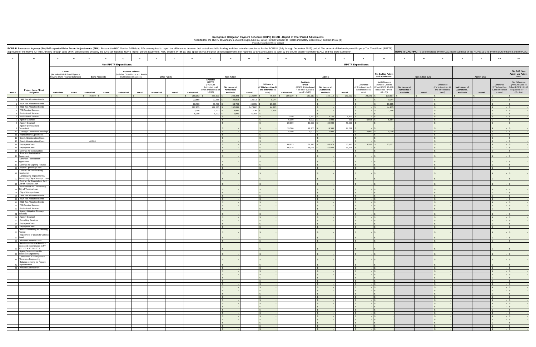|              |                                                                                      |                                                                 |               |                                                                                                                                                                                                                                                                                                                                                                                                                                                                  |                               |                                                          |                    |        |                   |                                                                                  |                                           |                   | (Report Amounts in Whole Dollars)                                     |                  | Recognized Obligation Payment Schedule (ROPS) 13-14B - Report of Prior Period Adjustments<br>Reported for the ROPS III (January 1, 2013 through June 30, 2013) Period Pursuant to Health and Safety Code (HSC) section 34186 (a) |                                            |                      |                                                                  |                                                                                                 |                                            |                      |                                                                                                                 |                                            |                  |                                                                  |                                                                                          |
|--------------|--------------------------------------------------------------------------------------|-----------------------------------------------------------------|---------------|------------------------------------------------------------------------------------------------------------------------------------------------------------------------------------------------------------------------------------------------------------------------------------------------------------------------------------------------------------------------------------------------------------------------------------------------------------------|-------------------------------|----------------------------------------------------------|--------------------|--------|-------------------|----------------------------------------------------------------------------------|-------------------------------------------|-------------------|-----------------------------------------------------------------------|------------------|----------------------------------------------------------------------------------------------------------------------------------------------------------------------------------------------------------------------------------|--------------------------------------------|----------------------|------------------------------------------------------------------|-------------------------------------------------------------------------------------------------|--------------------------------------------|----------------------|-----------------------------------------------------------------------------------------------------------------|--------------------------------------------|------------------|------------------------------------------------------------------|------------------------------------------------------------------------------------------|
|              |                                                                                      |                                                                 |               | ROPS III Successor Agency (SA) Self-reported Prior Period Adjustments (PPA): Pursuant to HSC Section 34186 (a), SAs are required to report the differences between their actual available funding and their actual expenditure<br>approved for the ROPS 13-14B (January through June 2014) period will be offset by the SA's self-reported ROPS III prior period adjustment. HSC Section 34186 (a) also specifies that the prior period adjustments self-reporte |                               |                                                          |                    |        |                   |                                                                                  |                                           |                   |                                                                       |                  |                                                                                                                                                                                                                                  |                                            |                      |                                                                  |                                                                                                 |                                            |                      | ROPS III CAC PPA: To be completed by the CAC upon submittal of the ROPS 13-14B by the SA to Finance and the CAC |                                            |                  |                                                                  |                                                                                          |
| $\mathbf{A}$ | в                                                                                    | C                                                               | D             | E                                                                                                                                                                                                                                                                                                                                                                                                                                                                | G                             |                                                          |                    |        | K                 |                                                                                  | M                                         |                   | $\Omega$                                                              |                  | $\Omega$                                                                                                                                                                                                                         |                                            | s                    |                                                                  | $\mathbf{u}$                                                                                    |                                            |                      |                                                                                                                 |                                            |                  | AA                                                               | AB                                                                                       |
|              |                                                                                      |                                                                 |               |                                                                                                                                                                                                                                                                                                                                                                                                                                                                  | <b>Non-RPTTF Expenditures</b> |                                                          |                    |        |                   |                                                                                  |                                           |                   |                                                                       |                  |                                                                                                                                                                                                                                  |                                            |                      | <b>RPTTF Expenditures</b>                                        |                                                                                                 |                                            |                      |                                                                                                                 |                                            |                  |                                                                  |                                                                                          |
|              |                                                                                      | <b>LMIHF</b>                                                    |               |                                                                                                                                                                                                                                                                                                                                                                                                                                                                  |                               | <b>Reserve Balance</b><br>ncludes Other Funds and Assets |                    |        |                   |                                                                                  |                                           |                   |                                                                       |                  |                                                                                                                                                                                                                                  |                                            |                      |                                                                  | Net SA Non-Admin                                                                                |                                            |                      |                                                                                                                 |                                            |                  |                                                                  | Net CAC Non-<br><b>Admin and Admin</b>                                                   |
|              |                                                                                      | (Includes LMIHF Due Diligence<br>Review (DDR) retained balances |               | <b>Bond Proceeds</b>                                                                                                                                                                                                                                                                                                                                                                                                                                             |                               | DDR retained balances)                                   | <b>Other Funds</b> |        |                   | Available                                                                        | Non-Admin                                 |                   |                                                                       |                  |                                                                                                                                                                                                                                  | Admin                                      |                      |                                                                  | and Admin PPA                                                                                   |                                            | <b>Non-Admin CAC</b> |                                                                                                                 |                                            | <b>Admin CAC</b> |                                                                  | PPA                                                                                      |
| Item #       | <b>Project Name / Debt</b><br>Obligation                                             | Authorized                                                      | <b>Actual</b> | <b>Actual</b><br>Authorized                                                                                                                                                                                                                                                                                                                                                                                                                                      | Authorized                    | Actual                                                   | Authorized         | Actual | Authorized        | <b>RPTTF</b><br>(ROPS III<br>distributed + all<br>other available as o<br>1/1/13 | Net Lesser of<br>Authorized/<br>Available | Actual            | <b>Difference</b><br>f M is less than I<br>the difference is<br>zero) | Authorized       | Available<br><b>RPTTF</b><br>ROPS III distributed<br>all other available<br>as of 1/1/13)                                                                                                                                        | Net Lesser of<br>Authorized /<br>Available | Actual               | Difference<br>(If R is less than S<br>the difference is<br>zero) | Net Difference<br>(Amount Used to<br>Offset ROPS 13-14B<br><b>Requested RPTTF</b><br>$(O + T))$ | Net Lesser of<br>Authorized /<br>Available | Actual               | Difference<br>f V is less than W<br>the difference is<br>zero)                                                  | Net Lesser of<br>Authorized /<br>Available | Actual           | Difference<br>If Y is less than<br>Z, the difference<br>is zero) | Net Difference<br>(Amount Used to<br>Offset ROPS 13-14B<br>Requested RPTTF<br>$(X + AA)$ |
|              | 1998 Tax Allocation Bonds                                                            |                                                                 |               | 46,980<br>$\mathbf{s}$                                                                                                                                                                                                                                                                                                                                                                                                                                           |                               |                                                          |                    |        | 288,393<br>22,858 | 288,393<br>22,858                                                                | 288,393<br>22,858                         | 212,009<br>12,913 | 76,676 \$<br>9,944                                                    | 189,110          | 189,110                                                                                                                                                                                                                          | 189,110                                    | 187,622              | 24,221                                                           | 100,897<br>9,944                                                                                |                                            |                      |                                                                                                                 |                                            |                  |                                                                  |                                                                                          |
|              | 2004 Tax Allocation Bonds                                                            |                                                                 |               |                                                                                                                                                                                                                                                                                                                                                                                                                                                                  |                               |                                                          |                    |        | 63,700            | 63,700                                                                           | 63,700                                    | 43.705            | 19,995                                                                |                  |                                                                                                                                                                                                                                  |                                            |                      |                                                                  | 19.995                                                                                          |                                            |                      |                                                                                                                 |                                            |                  |                                                                  |                                                                                          |
|              | 3 2010 Tax Allocation Bonds<br>4 TAB Trustee Services                                |                                                                 |               |                                                                                                                                                                                                                                                                                                                                                                                                                                                                  |                               |                                                          |                    |        | 192,835<br>3,000  | 192,835<br>3,000                                                                 | 192,835<br>3,000                          | 147,862<br>1,236  | 44,973<br>1,764                                                       |                  |                                                                                                                                                                                                                                  | $\mathbf{s}$<br>$\mathbf{s}$               |                      | $\hat{\mathcal{L}}$<br>$\mathcal{S}$                             | 44,973<br>1,764                                                                                 |                                            |                      |                                                                                                                 |                                            |                  |                                                                  | S                                                                                        |
|              | 5 Professional Services<br>6 Professional Services                                   |                                                                 |               |                                                                                                                                                                                                                                                                                                                                                                                                                                                                  |                               |                                                          |                    |        | 6,000             | 6,000                                                                            | 6,000                                     | 6,293             |                                                                       |                  |                                                                                                                                                                                                                                  |                                            |                      |                                                                  |                                                                                                 |                                            |                      |                                                                                                                 |                                            |                  |                                                                  |                                                                                          |
|              | 7 Agency Counsel                                                                     |                                                                 |               |                                                                                                                                                                                                                                                                                                                                                                                                                                                                  |                               |                                                          |                    |        |                   |                                                                                  |                                           |                   | $\mathbf{s}$                                                          | 3,750<br>6,000   | 3,750<br>6,000                                                                                                                                                                                                                   | 3,750<br>6,000                             | $7,403$ \$<br>336 \$ | 5,664                                                            | 5,664                                                                                           |                                            |                      |                                                                                                                 |                                            |                  |                                                                  | $\mathbf{s}$<br>$\sqrt{s}$                                                               |
|              | 8 Agency Counsel<br>Agency Development                                               |                                                                 |               |                                                                                                                                                                                                                                                                                                                                                                                                                                                                  |                               |                                                          |                    |        |                   |                                                                                  |                                           |                   | $\mathbf{\hat{s}}$                                                    | 30,000           | 30,000                                                                                                                                                                                                                           | 30,000                                     | $43,659$ \$          |                                                                  |                                                                                                 |                                            |                      |                                                                                                                 |                                            |                  |                                                                  |                                                                                          |
|              | Consultant<br>10 Oversight Committee Meeting                                         |                                                                 |               |                                                                                                                                                                                                                                                                                                                                                                                                                                                                  |                               |                                                          |                    |        |                   |                                                                                  |                                           |                   | $\hat{\mathbf{z}}$                                                    | 19,360<br>5,000  | 19,360<br>5,000                                                                                                                                                                                                                  | 19,360<br>5,000                            | 24,782               | 5.000<br>$-$ \$                                                  | 5.000                                                                                           |                                            |                      |                                                                                                                 |                                            |                  |                                                                  |                                                                                          |
|              | 11 Improvement Agreements                                                            |                                                                 |               |                                                                                                                                                                                                                                                                                                                                                                                                                                                                  |                               |                                                          |                    |        |                   |                                                                                  |                                           |                   |                                                                       |                  |                                                                                                                                                                                                                                  |                                            |                      |                                                                  |                                                                                                 |                                            |                      |                                                                                                                 |                                            |                  |                                                                  |                                                                                          |
|              | 12 Direct Administration Costs<br>13 Direct Administration Costs                     |                                                                 |               | 46,980                                                                                                                                                                                                                                                                                                                                                                                                                                                           |                               |                                                          |                    |        |                   |                                                                                  |                                           |                   | $\mathbf{s}$<br>$\mathsf{S}$                                          |                  |                                                                                                                                                                                                                                  | $\mathbf{s}$                               |                      |                                                                  |                                                                                                 |                                            |                      |                                                                                                                 |                                            |                  |                                                                  | $\mathsf{S}$                                                                             |
|              | 14 Employee Costs<br>15 Employee Costs                                               |                                                                 |               |                                                                                                                                                                                                                                                                                                                                                                                                                                                                  |                               |                                                          |                    |        |                   |                                                                                  |                                           |                   | $\mathbf{s}$                                                          | 68,973<br>56,028 | 68,973<br>56,028                                                                                                                                                                                                                 | 68,973<br>56,028                           | 55,415 \$<br>56,028  | 13,557 \$                                                        | 13,557                                                                                          |                                            |                      |                                                                                                                 |                                            |                  |                                                                  |                                                                                          |
|              | 16 Contract for Construction                                                         |                                                                 |               |                                                                                                                                                                                                                                                                                                                                                                                                                                                                  |                               |                                                          |                    |        |                   |                                                                                  |                                           |                   | $\mathbf{s}$                                                          |                  |                                                                                                                                                                                                                                  |                                            |                      |                                                                  |                                                                                                 |                                            |                      |                                                                                                                 |                                            |                  |                                                                  | S                                                                                        |
|              | Sorenson Participation<br>17 Agreement                                               |                                                                 |               |                                                                                                                                                                                                                                                                                                                                                                                                                                                                  |                               |                                                          |                    |        |                   |                                                                                  |                                           |                   |                                                                       |                  |                                                                                                                                                                                                                                  |                                            |                      |                                                                  |                                                                                                 |                                            |                      |                                                                                                                 |                                            |                  |                                                                  |                                                                                          |
|              | Sorenson Participation<br>18 Agreement                                               |                                                                 |               |                                                                                                                                                                                                                                                                                                                                                                                                                                                                  |                               |                                                          |                    |        |                   |                                                                                  |                                           |                   |                                                                       |                  |                                                                                                                                                                                                                                  |                                            |                      |                                                                  |                                                                                                 |                                            |                      |                                                                                                                 |                                            |                  |                                                                  |                                                                                          |
|              | 19 Contract for Lighting Fixtures<br>20 Project Operating Costs                      |                                                                 |               |                                                                                                                                                                                                                                                                                                                                                                                                                                                                  |                               |                                                          |                    |        |                   |                                                                                  |                                           |                   | $\mathbf{s}$                                                          |                  |                                                                                                                                                                                                                                  | $\mathbf{s}$<br>$\mathbf{s}$               |                      | $\mathbb{R}$<br>$\mathcal{L}$                                    |                                                                                                 |                                            |                      |                                                                                                                 |                                            |                  |                                                                  |                                                                                          |
|              | Contract for Landscaping<br>Installation                                             |                                                                 |               |                                                                                                                                                                                                                                                                                                                                                                                                                                                                  |                               |                                                          |                    |        |                   |                                                                                  |                                           |                   |                                                                       |                  |                                                                                                                                                                                                                                  |                                            |                      |                                                                  |                                                                                                 |                                            |                      |                                                                                                                 |                                            |                  |                                                                  |                                                                                          |
|              | Landscaping Improvments /<br>22 Remaining City of Yucaipa Loar                       |                                                                 |               |                                                                                                                                                                                                                                                                                                                                                                                                                                                                  |                               |                                                          |                    |        |                   |                                                                                  |                                           |                   |                                                                       |                  |                                                                                                                                                                                                                                  |                                            |                      |                                                                  |                                                                                                 |                                            |                      |                                                                                                                 |                                            |                  |                                                                  |                                                                                          |
|              | Contract for Roundabout Art /<br>23 City of Yucaipa Loan                             |                                                                 |               |                                                                                                                                                                                                                                                                                                                                                                                                                                                                  |                               |                                                          |                    |        |                   |                                                                                  |                                           |                   |                                                                       |                  |                                                                                                                                                                                                                                  |                                            |                      |                                                                  |                                                                                                 |                                            |                      |                                                                                                                 |                                            |                  |                                                                  |                                                                                          |
| 24           | Roundabout Art / Remaining<br>City of Yucaipa Loan                                   |                                                                 |               |                                                                                                                                                                                                                                                                                                                                                                                                                                                                  |                               |                                                          |                    |        |                   |                                                                                  |                                           |                   |                                                                       |                  |                                                                                                                                                                                                                                  |                                            |                      |                                                                  |                                                                                                 |                                            |                      |                                                                                                                 |                                            |                  |                                                                  |                                                                                          |
|              | 25 City of Yucaipa Loan                                                              |                                                                 |               |                                                                                                                                                                                                                                                                                                                                                                                                                                                                  |                               |                                                          |                    |        |                   |                                                                                  |                                           |                   | $\mathbf{s}$                                                          |                  |                                                                                                                                                                                                                                  | $\mathbf{s}$                               |                      | $\mathbf{s}$                                                     |                                                                                                 |                                            |                      |                                                                                                                 |                                            |                  |                                                                  |                                                                                          |
|              | 26 1998 Tax Allocation Bonds<br>27 2004 Tax Allocation Bonds                         |                                                                 |               |                                                                                                                                                                                                                                                                                                                                                                                                                                                                  |                               |                                                          |                    |        |                   |                                                                                  |                                           |                   | $\mathbf{s}$<br>$\mathbf{s}$                                          |                  |                                                                                                                                                                                                                                  | S.<br>$\mathbf{s}$                         |                      | $\mathsf{s}$<br>$\mathbf{s}$                                     |                                                                                                 |                                            |                      |                                                                                                                 |                                            |                  |                                                                  | $\overline{\mathbf{s}}$<br>$\mathcal{S}$                                                 |
|              | 28 2010 Tax Allocation Bonds<br>29 TAB Trustee Services                              |                                                                 |               |                                                                                                                                                                                                                                                                                                                                                                                                                                                                  |                               |                                                          |                    |        |                   |                                                                                  |                                           |                   | $\mathsf{S}$                                                          |                  |                                                                                                                                                                                                                                  | $\mathbf{s}$                               |                      | $\mathbb{S}$                                                     |                                                                                                 |                                            |                      |                                                                                                                 |                                            |                  |                                                                  | S                                                                                        |
|              | 30 Professional Services                                                             |                                                                 |               |                                                                                                                                                                                                                                                                                                                                                                                                                                                                  |                               |                                                          |                    |        |                   |                                                                                  |                                           |                   | $\sqrt{S}$                                                            |                  |                                                                                                                                                                                                                                  | $\mathbf{s}$                               |                      | $\sqrt{S}$                                                       |                                                                                                 |                                            |                      |                                                                                                                 |                                            |                  |                                                                  | S                                                                                        |
|              | <b>Agency Litigation Attorney</b><br>31 Services                                     |                                                                 |               |                                                                                                                                                                                                                                                                                                                                                                                                                                                                  |                               |                                                          |                    |        |                   |                                                                                  |                                           |                   |                                                                       |                  |                                                                                                                                                                                                                                  |                                            |                      |                                                                  |                                                                                                 |                                            |                      |                                                                                                                 |                                            |                  |                                                                  |                                                                                          |
|              | 32 Agency Counsel<br>33 Consulting Services                                          |                                                                 |               |                                                                                                                                                                                                                                                                                                                                                                                                                                                                  |                               |                                                          |                    |        |                   |                                                                                  |                                           |                   | $\mathbf{s}$                                                          |                  |                                                                                                                                                                                                                                  | S.                                         |                      | $\mathcal{S}$                                                    |                                                                                                 |                                            |                      |                                                                                                                 |                                            |                  |                                                                  | I S                                                                                      |
|              | 34 Employee Costs                                                                    |                                                                 |               |                                                                                                                                                                                                                                                                                                                                                                                                                                                                  |                               |                                                          |                    |        |                   |                                                                                  |                                           |                   |                                                                       |                  |                                                                                                                                                                                                                                  | $\epsilon$                                 |                      | $\hat{\mathbf{r}}$                                               |                                                                                                 |                                            |                      |                                                                                                                 |                                            |                  |                                                                  |                                                                                          |
|              | 35 Employee Costs<br>Amount remaining for Housing                                    |                                                                 |               |                                                                                                                                                                                                                                                                                                                                                                                                                                                                  |                               |                                                          |                    |        |                   |                                                                                  |                                           |                   | l \$                                                                  |                  |                                                                                                                                                                                                                                  | S.                                         |                      | $\mathbf{s}$                                                     |                                                                                                 |                                            |                      |                                                                                                                 |                                            |                  |                                                                  | $\mathsf{s}$                                                                             |
|              | 36 Project<br>Repayment of Loans to Genera                                           |                                                                 |               |                                                                                                                                                                                                                                                                                                                                                                                                                                                                  |                               |                                                          |                    |        |                   |                                                                                  |                                           |                   |                                                                       |                  |                                                                                                                                                                                                                                  |                                            |                      |                                                                  |                                                                                                 |                                            |                      |                                                                                                                 |                                            |                  |                                                                  |                                                                                          |
|              | 37 Fund<br>38 Allocated towards LMIH                                                 |                                                                 |               |                                                                                                                                                                                                                                                                                                                                                                                                                                                                  |                               |                                                          |                    |        |                   |                                                                                  | $\sim$                                    |                   | $\mathsf{s}$                                                          |                  |                                                                                                                                                                                                                                  | S                                          |                      | S                                                                |                                                                                                 |                                            |                      | $\epsilon$                                                                                                      |                                            |                  |                                                                  | $\sim$                                                                                   |
|              | Reimburse General Fund for<br>advanced expenditures in FY<br>39 2011/12 & FY 2012/13 |                                                                 |               |                                                                                                                                                                                                                                                                                                                                                                                                                                                                  |                               |                                                          |                    |        |                   |                                                                                  |                                           |                   |                                                                       |                  |                                                                                                                                                                                                                                  |                                            |                      |                                                                  |                                                                                                 |                                            |                      |                                                                                                                 |                                            |                  |                                                                  |                                                                                          |
|              | Agency's commitment to<br>40 Sorenson Engineering                                    |                                                                 |               |                                                                                                                                                                                                                                                                                                                                                                                                                                                                  |                               |                                                          |                    |        |                   |                                                                                  |                                           |                   |                                                                       |                  |                                                                                                                                                                                                                                  |                                            |                      |                                                                  |                                                                                                 |                                            |                      |                                                                                                                 |                                            |                  |                                                                  |                                                                                          |
|              | Completion of Dunlap Drain<br>41 (Sorenson Engineering                               |                                                                 |               |                                                                                                                                                                                                                                                                                                                                                                                                                                                                  |                               |                                                          |                    |        |                   |                                                                                  |                                           |                   |                                                                       |                  |                                                                                                                                                                                                                                  |                                            |                      |                                                                  |                                                                                                 |                                            |                      |                                                                                                                 |                                            |                  |                                                                  |                                                                                          |
|              | Balance remaing for Façade<br>42 Improvements                                        |                                                                 |               |                                                                                                                                                                                                                                                                                                                                                                                                                                                                  |                               |                                                          |                    |        |                   |                                                                                  |                                           |                   |                                                                       |                  |                                                                                                                                                                                                                                  |                                            |                      |                                                                  |                                                                                                 |                                            |                      |                                                                                                                 |                                            |                  |                                                                  |                                                                                          |
|              | 43 Wilson Business Park                                                              |                                                                 |               |                                                                                                                                                                                                                                                                                                                                                                                                                                                                  |                               |                                                          |                    |        |                   |                                                                                  | S                                         |                   | $\sqrt{S}$                                                            |                  |                                                                                                                                                                                                                                  | S                                          |                      | S                                                                | $\mathbb{R}$                                                                                    |                                            |                      | $\mathbf{s}$<br>$\epsilon$                                                                                      |                                            |                  |                                                                  | $ s$                                                                                     |
|              |                                                                                      |                                                                 |               |                                                                                                                                                                                                                                                                                                                                                                                                                                                                  |                               |                                                          |                    |        |                   |                                                                                  | S                                         |                   | $\sqrt{S}$<br>$\mathsf{S}$                                            |                  |                                                                                                                                                                                                                                  | $\mathbf{s}$<br>$\mathsf{s}$               |                      | $\sqrt{5}$<br>$\sqrt{S}$                                         |                                                                                                 |                                            |                      |                                                                                                                 |                                            |                  |                                                                  | $\mathsf{S}$<br>$\sqrt{S}$                                                               |
|              |                                                                                      |                                                                 |               |                                                                                                                                                                                                                                                                                                                                                                                                                                                                  |                               |                                                          |                    |        |                   |                                                                                  | S                                         |                   | $\sqrt{S}$                                                            |                  |                                                                                                                                                                                                                                  | $\sqrt{S}$                                 |                      | $\sqrt{5}$                                                       | $\mathbb{R}$                                                                                    |                                            |                      | $\epsilon$                                                                                                      |                                            |                  |                                                                  | $\sqrt{S}$<br>$\sqrt{s}$                                                                 |
|              |                                                                                      |                                                                 |               |                                                                                                                                                                                                                                                                                                                                                                                                                                                                  |                               |                                                          |                    |        |                   |                                                                                  | $\sim$                                    |                   | $\mathsf{s}$<br>$\mathsf{s}$                                          |                  |                                                                                                                                                                                                                                  | $\mathsf{s}$<br>S                          |                      | $\mathbb{S}$<br>S                                                |                                                                                                 |                                            |                      |                                                                                                                 |                                            |                  |                                                                  | $\blacksquare$                                                                           |
|              |                                                                                      |                                                                 |               |                                                                                                                                                                                                                                                                                                                                                                                                                                                                  |                               |                                                          |                    |        |                   |                                                                                  | $\mathbf{s}$<br>$\mathbf{s}$              |                   | S<br>$\sqrt{S}$                                                       |                  |                                                                                                                                                                                                                                  | S<br>S                                     |                      | $\mathsf{s}$<br>$\sqrt{S}$                                       | $\sqrt{2}$<br>- IS                                                                              |                                            |                      | $\mathcal{S}$                                                                                                   |                                            |                  |                                                                  | $ \sqrt{s}$<br>$ \sqrt{ }$                                                               |
|              |                                                                                      |                                                                 |               |                                                                                                                                                                                                                                                                                                                                                                                                                                                                  |                               |                                                          |                    |        |                   |                                                                                  | $\mathsf{s}$                              |                   | $\mathsf{s}$                                                          |                  |                                                                                                                                                                                                                                  | S                                          |                      | S                                                                | $\mathbb{R}$                                                                                    |                                            |                      | $\mathcal{S}$                                                                                                   |                                            |                  |                                                                  | $ \sim$                                                                                  |
|              |                                                                                      |                                                                 |               |                                                                                                                                                                                                                                                                                                                                                                                                                                                                  |                               |                                                          |                    |        |                   |                                                                                  | $\sqrt{S}$                                |                   | $\sqrt{s}$<br>$\sqrt{S}$                                              |                  |                                                                                                                                                                                                                                  | S<br>$\mathbf{s}$                          |                      | $\sqrt{S}$<br>$\sqrt{S}$                                         | $-1$ \$                                                                                         |                                            |                      | $\mathsf{S}$<br>$\mathbf{c}$                                                                                    |                                            |                  | $\mathcal{S}$                                                    | $-$ \$<br>$\sqrt{S}$                                                                     |
|              |                                                                                      |                                                                 |               |                                                                                                                                                                                                                                                                                                                                                                                                                                                                  |                               |                                                          |                    |        |                   |                                                                                  | $\mathbf{s}$                              |                   | $\sqrt{S}$                                                            |                  |                                                                                                                                                                                                                                  | S                                          |                      | $\sqrt{5}$                                                       | - IS-                                                                                           |                                            |                      | $\mathbf{s}$<br>$\epsilon$                                                                                      |                                            |                  |                                                                  | $\sqrt{S}$                                                                               |
|              |                                                                                      |                                                                 |               |                                                                                                                                                                                                                                                                                                                                                                                                                                                                  |                               |                                                          |                    |        |                   |                                                                                  | $\mathsf{s}$                              |                   | $\sim$<br>$\sqrt{S}$                                                  |                  |                                                                                                                                                                                                                                  | S<br>$\mathsf{s}$                          |                      | $\sqrt{5}$<br>$\sqrt{S}$                                         | $\overline{\mathbf{s}}$                                                                         |                                            |                      |                                                                                                                 |                                            |                  |                                                                  | $\mathsf{S}$<br>$\sqrt{S}$                                                               |
|              |                                                                                      |                                                                 |               |                                                                                                                                                                                                                                                                                                                                                                                                                                                                  |                               |                                                          |                    |        |                   |                                                                                  | $\sim$<br>$\sim$                          |                   | $\mathsf{s}$<br>$\mathbf{s}$                                          |                  |                                                                                                                                                                                                                                  | S<br>S                                     |                      | S<br>S                                                           |                                                                                                 |                                            |                      |                                                                                                                 |                                            |                  |                                                                  | $ s$<br>$\sqrt{s}$                                                                       |
|              |                                                                                      |                                                                 |               |                                                                                                                                                                                                                                                                                                                                                                                                                                                                  |                               |                                                          |                    |        |                   |                                                                                  | $\mathbf{s}$                              |                   | $\sqrt{S}$                                                            |                  |                                                                                                                                                                                                                                  | S                                          |                      | $\mathsf{s}$                                                     |                                                                                                 |                                            |                      | $\mathcal{S}$                                                                                                   |                                            |                  |                                                                  | $ \sim$                                                                                  |
|              |                                                                                      |                                                                 |               |                                                                                                                                                                                                                                                                                                                                                                                                                                                                  |                               |                                                          |                    |        |                   |                                                                                  | $\mathsf{s}$                              |                   | $\mathsf{s}$<br>$\sqrt{S}$                                            |                  |                                                                                                                                                                                                                                  | S<br>S                                     |                      | S<br>$\sqrt{5}$                                                  | $\overline{\mathbf{s}}$                                                                         |                                            |                      |                                                                                                                 |                                            |                  |                                                                  | $ \sqrt{s}$<br>$\cdot$ IS                                                                |
|              |                                                                                      |                                                                 |               |                                                                                                                                                                                                                                                                                                                                                                                                                                                                  |                               |                                                          |                    |        |                   |                                                                                  |                                           |                   |                                                                       |                  |                                                                                                                                                                                                                                  | $\mathbf{s}$                               |                      | $\mathsf{s}$                                                     |                                                                                                 |                                            |                      |                                                                                                                 |                                            |                  |                                                                  |                                                                                          |